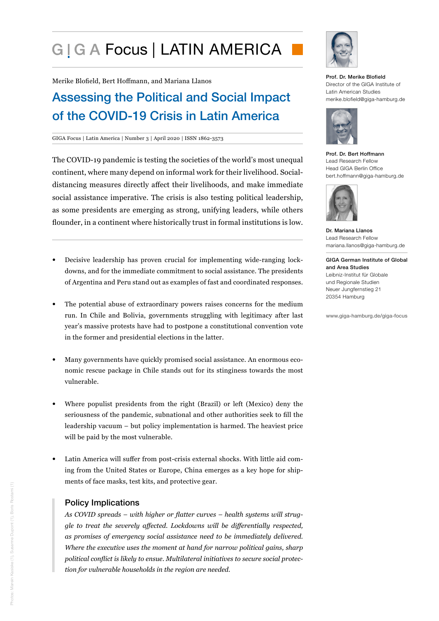# G I G A Focus | LATIN AMERICA

Merike Blofield, Bert Hoffmann, and Mariana Llanos

# Assessing the Political and Social Impact of the COVID-19 Crisis in Latin America

#### GIGA Focus | Latin America | Number 3 | April 2020 | ISSN 1862-3573

The COVID-19 pandemic is testing the societies of the world's most unequal continent, where many depend on informal work for their livelihood. Socialdistancing measures directly affect their livelihoods, and make immediate social assistance imperative. The crisis is also testing political leadership, as some presidents are emerging as strong, unifying leaders, while others flounder, in a continent where historically trust in formal institutions is low.

- Decisive leadership has proven crucial for implementing wide-ranging lockdowns, and for the immediate commitment to social assistance. The presidents of Argentina and Peru stand out as examples of fast and coordinated responses.
- The potential abuse of extraordinary powers raises concerns for the medium run. In Chile and Bolivia, governments struggling with legitimacy after last year's massive protests have had to postpone a constitutional convention vote in the former and presidential elections in the latter.
- Many governments have quickly promised social assistance. An enormous economic rescue package in Chile stands out for its stinginess towards the most vulnerable.
- Where populist presidents from the right (Brazil) or left (Mexico) deny the seriousness of the pandemic, subnational and other authorities seek to fill the leadership vacuum – but policy implementation is harmed. The heaviest price will be paid by the most vulnerable.
- Latin America will suffer from post-crisis external shocks. With little aid coming from the United States or Europe, China emerges as a key hope for shipments of face masks, test kits, and protective gear.

#### Policy Implications

*As COVID spreads – with higher or flatter curves – health systems will struggle to treat the severely affected. Lockdowns will be differentially respected, as promises of emergency social assistance need to be immediately delivered. Where the executive uses the moment at hand for narrow political gains, sharp political conflict is likely to ensue. Multilateral initiatives to secure social protection for vulnerable households in the region are needed.* 



#### Prof. Dr. Merike Blofield Director of the GIGA Institute of Latin American Studies merike.blofield@giga-hamburg.de



Prof. Dr. Bert Hoffmann Lead Research Fellow Head GIGA Berlin Office bert.hoffmann@giga-hamburg.de



Dr. Mariana Llanos Lead Research Fellow mariana.llanos@giga-hamburg.de

GIGA German Institute of Global and Area Studies Leibniz-Institut für Globale und Regionale Studien Neuer Jungfernstieg 21 20354 Hamburg

www.giga-hamburg.de/giga-focus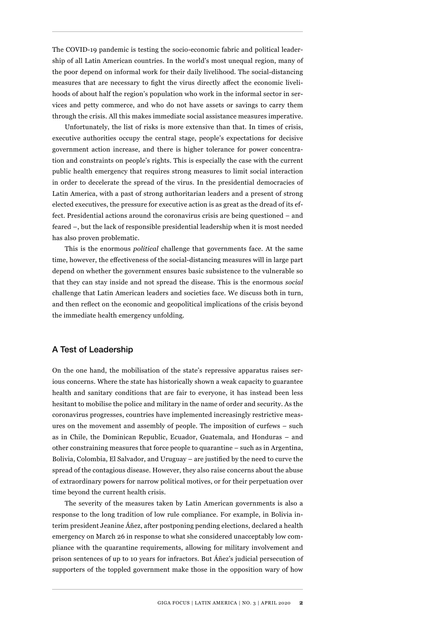The COVID-19 pandemic is testing the socio-economic fabric and political leadership of all Latin American countries. In the world's most unequal region, many of the poor depend on informal work for their daily livelihood. The social-distancing measures that are necessary to fight the virus directly affect the economic livelihoods of about half the region's population who work in the informal sector in services and petty commerce, and who do not have assets or savings to carry them through the crisis. All this makes immediate social assistance measures imperative.

Unfortunately, the list of risks is more extensive than that. In times of crisis, executive authorities occupy the central stage, people's expectations for decisive government action increase, and there is higher tolerance for power concentration and constraints on people's rights. This is especially the case with the current public health emergency that requires strong measures to limit social interaction in order to decelerate the spread of the virus. In the presidential democracies of Latin America, with a past of strong authoritarian leaders and a present of strong elected executives, the pressure for executive action is as great as the dread of its effect. Presidential actions around the coronavirus crisis are being questioned – and feared –, but the lack of responsible presidential leadership when it is most needed has also proven problematic.

This is the enormous *political* challenge that governments face. At the same time, however, the effectiveness of the social-distancing measures will in large part depend on whether the government ensures basic subsistence to the vulnerable so that they can stay inside and not spread the disease. This is the enormous *social* challenge that Latin American leaders and societies face. We discuss both in turn, and then reflect on the economic and geopolitical implications of the crisis beyond the immediate health emergency unfolding.

#### A Test of Leadership

On the one hand, the mobilisation of the state's repressive apparatus raises serious concerns. Where the state has historically shown a weak capacity to guarantee health and sanitary conditions that are fair to everyone, it has instead been less hesitant to mobilise the police and military in the name of order and security. As the coronavirus progresses, countries have implemented increasingly restrictive measures on the movement and assembly of people. The imposition of curfews – such as in Chile, the Dominican Republic, Ecuador, Guatemala, and Honduras – and other constraining measures that force people to quarantine – such as in Argentina, Bolivia, Colombia, El Salvador, and Uruguay – are justified by the need to curve the spread of the contagious disease. However, they also raise concerns about the abuse of extraordinary powers for narrow political motives, or for their perpetuation over time beyond the current health crisis.

The severity of the measures taken by Latin American governments is also a response to the long tradition of low rule compliance. For example, in Bolivia interim president Jeanine Áñez, after postponing pending elections, declared a health emergency on March 26 in response to what she considered unacceptably low compliance with the quarantine requirements, allowing for military involvement and prison sentences of up to 10 years for infractors. But Áñez's judicial persecution of supporters of the toppled government make those in the opposition wary of how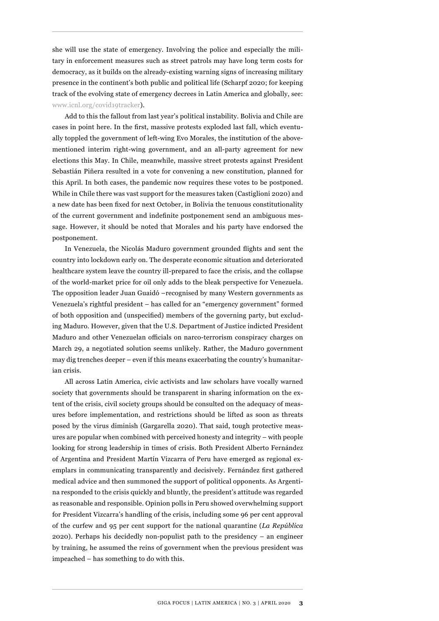she will use the state of emergency. Involving the police and especially the military in enforcement measures such as street patrols may have long term costs for democracy, as it builds on the already-existing warning signs of increasing military presence in the continent's both public and political life (Scharpf 2020; for keeping track of the evolving state of emergency decrees in Latin America and globally, see: [www.icnl.org/covid19tracker](http://www.icnl.org/covid19tracker)).

Add to this the fallout from last year's political instability. Bolivia and Chile are cases in point here. In the first, massive protests exploded last fall, which eventually toppled the government of left-wing Evo Morales, the institution of the abovementioned interim right-wing government, and an all-party agreement for new elections this May. In Chile, meanwhile, massive street protests against President Sebastián Piñera resulted in a vote for convening a new constitution, planned for this April. In both cases, the pandemic now requires these votes to be postponed. While in Chile there was vast support for the measures taken (Castiglioni 2020) and a new date has been fixed for next October, in Bolivia the tenuous constitutionality of the current government and indefinite postponement send an ambiguous message. However, it should be noted that Morales and his party have endorsed the postponement.

In Venezuela, the Nicolás Maduro government grounded flights and sent the country into lockdown early on. The desperate economic situation and deteriorated healthcare system leave the country ill-prepared to face the crisis, and the collapse of the world-market price for oil only adds to the bleak perspective for Venezuela. The opposition leader Juan Guaidó –recognised by many Western governments as Venezuela's rightful president – has called for an "emergency government" formed of both opposition and (unspecified) members of the governing party, but excluding Maduro. However, given that the U.S. Department of Justice indicted President Maduro and other Venezuelan officials on narco-terrorism conspiracy charges on March 29, a negotiated solution seems unlikely. Rather, the Maduro government may dig trenches deeper – even if this means exacerbating the country's humanitarian crisis.

All across Latin America, civic activists and law scholars have vocally warned society that governments should be transparent in sharing information on the extent of the crisis, civil society groups should be consulted on the adequacy of measures before implementation, and restrictions should be lifted as soon as threats posed by the virus diminish (Gargarella 2020). That said, tough protective measures are popular when combined with perceived honesty and integrity – with people looking for strong leadership in times of crisis. Both President Alberto Fernández of Argentina and President Martín Vizcarra of Peru have emerged as regional exemplars in communicating transparently and decisively. Fernández first gathered medical advice and then summoned the support of political opponents. As Argentina responded to the crisis quickly and bluntly, the president's attitude was regarded as reasonable and responsible. Opinion polls in Peru showed overwhelming support for President Vizcarra's handling of the crisis, including some 96 per cent approval of the curfew and 95 per cent support for the national quarantine (*La República* 2020). Perhaps his decidedly non-populist path to the presidency – an engineer by training, he assumed the reins of government when the previous president was impeached *–* has something to do with this.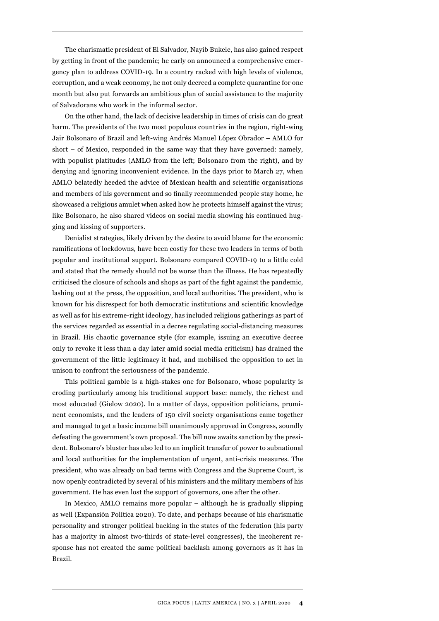The charismatic president of El Salvador, Nayib Bukele, has also gained respect by getting in front of the pandemic; he early on announced a comprehensive emergency plan to address COVID-19. In a country racked with high levels of violence, corruption, and a weak economy, he not only decreed a complete quarantine for one month but also put forwards an ambitious plan of social assistance to the majority of Salvadorans who work in the informal sector.

On the other hand, the lack of decisive leadership in times of crisis can do great harm. The presidents of the two most populous countries in the region, right-wing Jair Bolsonaro of Brazil and left-wing Andrés Manuel López Obrador – AMLO for short – of Mexico, responded in the same way that they have governed: namely, with populist platitudes (AMLO from the left; Bolsonaro from the right), and by denying and ignoring inconvenient evidence. In the days prior to March 27, when AMLO belatedly heeded the advice of Mexican health and scientific organisations and members of his government and so finally recommended people stay home, he showcased a religious amulet when asked how he protects himself against the virus; like Bolsonaro, he also shared videos on social media showing his continued hugging and kissing of supporters.

Denialist strategies, likely driven by the desire to avoid blame for the economic ramifications of lockdowns, have been costly for these two leaders in terms of both popular and institutional support. Bolsonaro compared COVID-19 to a little cold and stated that the remedy should not be worse than the illness. He has repeatedly criticised the closure of schools and shops as part of the fight against the pandemic, lashing out at the press, the opposition, and local authorities. The president, who is known for his disrespect for both democratic institutions and scientific knowledge as well as for his extreme-right ideology, has included religious gatherings as part of the services regarded as essential in a decree regulating social-distancing measures in Brazil. His chaotic governance style (for example, issuing an executive decree only to revoke it less than a day later amid social media criticism) has drained the government of the little legitimacy it had, and mobilised the opposition to act in unison to confront the seriousness of the pandemic.

This political gamble is a high-stakes one for Bolsonaro, whose popularity is eroding particularly among his traditional support base: namely, the richest and most educated (Gielow 2020). In a matter of days, opposition politicians, prominent economists, and the leaders of 150 civil society organisations came together and managed to get a basic income bill unanimously approved in Congress, soundly defeating the government's own proposal. The bill now awaits sanction by the president. Bolsonaro's bluster has also led to an implicit transfer of power to subnational and local authorities for the implementation of urgent, anti-crisis measures. The president, who was already on bad terms with Congress and the Supreme Court, is now openly contradicted by several of his ministers and the military members of his government. He has even lost the support of governors, one after the other.

In Mexico, AMLO remains more popular – although he is gradually slipping as well (Expansión Política 2020). To date, and perhaps because of his charismatic personality and stronger political backing in the states of the federation (his party has a majority in almost two-thirds of state-level congresses), the incoherent response has not created the same political backlash among governors as it has in Brazil.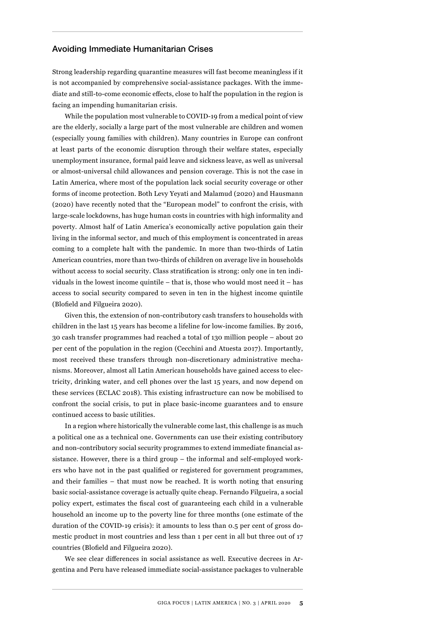#### Avoiding Immediate Humanitarian Crises

Strong leadership regarding quarantine measures will fast become meaningless if it is not accompanied by comprehensive social-assistance packages. With the immediate and still-to-come economic effects, close to half the population in the region is facing an impending humanitarian crisis.

While the population most vulnerable to COVID-19 from a medical point of view are the elderly, socially a large part of the most vulnerable are children and women (especially young families with children). Many countries in Europe can confront at least parts of the economic disruption through their welfare states, especially unemployment insurance, formal paid leave and sickness leave, as well as universal or almost-universal child allowances and pension coverage. This is not the case in Latin America, where most of the population lack social security coverage or other forms of income protection. Both Levy Yeyati and Malamud (2020) and Hausmann (2020) have recently noted that the "European model" to confront the crisis, with large-scale lockdowns, has huge human costs in countries with high informality and poverty. Almost half of Latin America's economically active population gain their living in the informal sector, and much of this employment is concentrated in areas coming to a complete halt with the pandemic. In more than two-thirds of Latin American countries, more than two-thirds of children on average live in households without access to social security. Class stratification is strong: only one in ten individuals in the lowest income quintile – that is, those who would most need it – has access to social security compared to seven in ten in the highest income quintile (Blofield and Filgueira 2020).

Given this, the extension of non-contributory cash transfers to households with children in the last 15 years has become a lifeline for low-income families. By 2016, 30 cash transfer programmes had reached a total of 130 million people – about 20 per cent of the population in the region (Cecchini and Atuesta 2017). Importantly, most received these transfers through non-discretionary administrative mechanisms. Moreover, almost all Latin American households have gained access to electricity, drinking water, and cell phones over the last 15 years, and now depend on these services (ECLAC 2018). This existing infrastructure can now be mobilised to confront the social crisis, to put in place basic-income guarantees and to ensure continued access to basic utilities.

In a region where historically the vulnerable come last, this challenge is as much a political one as a technical one. Governments can use their existing contributory and non-contributory social security programmes to extend immediate financial assistance. However, there is a third group – the informal and self-employed workers who have not in the past qualified or registered for government programmes, and their families – that must now be reached. It is worth noting that ensuring basic social-assistance coverage is actually quite cheap. Fernando Filgueira, a social policy expert, estimates the fiscal cost of guaranteeing each child in a vulnerable household an income up to the poverty line for three months (one estimate of the duration of the COVID-19 crisis): it amounts to less than 0.5 per cent of gross domestic product in most countries and less than 1 per cent in all but three out of 17 countries (Blofield and Filgueira 2020).

We see clear differences in social assistance as well. Executive decrees in Argentina and Peru have released immediate social-assistance packages to vulnerable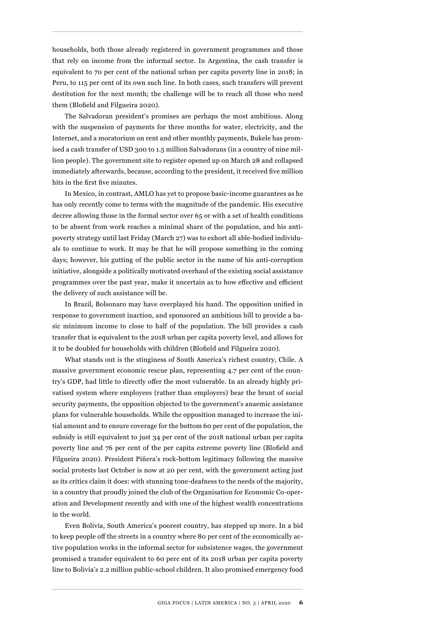households, both those already registered in government programmes and those that rely on income from the informal sector. In Argentina, the cash transfer is equivalent to 70 per cent of the national urban per capita poverty line in 2018; in Peru, to 115 per cent of its own such line. In both cases, such transfers will prevent destitution for the next month; the challenge will be to reach all those who need them (Blofield and Filgueira 2020).

The Salvadoran president's promises are perhaps the most ambitious. Along with the suspension of payments for three months for water, electricity, and the Internet, and a moratorium on rent and other monthly payments, Bukele has promised a cash transfer of USD 300 to 1.5 million Salvadorans (in a country of nine million people). The government site to register opened up on March 28 and collapsed immediately afterwards, because, according to the president, it received five million hits in the first five minutes.

In Mexico, in contrast, AMLO has yet to propose basic-income guarantees as he has only recently come to terms with the magnitude of the pandemic. His executive decree allowing those in the formal sector over 65 or with a set of health conditions to be absent from work reaches a minimal share of the population, and his antipoverty strategy until last Friday (March 27) was to exhort all able-bodied individuals to continue to work. It may be that he will propose something in the coming days; however, his gutting of the public sector in the name of his anti-corruption initiative, alongside a politically motivated overhaul of the existing social assistance programmes over the past year, make it uncertain as to how effective and efficient the delivery of such assistance will be.

In Brazil, Bolsonaro may have overplayed his hand. The opposition unified in response to government inaction, and sponsored an ambitious bill to provide a basic minimum income to close to half of the population. The bill provides a cash transfer that is equivalent to the 2018 urban per capita poverty level, and allows for it to be doubled for households with children (Blofield and Filgueira 2020).

What stands out is the stinginess of South America's richest country, Chile. A massive government economic rescue plan, representing 4.7 per cent of the country's GDP, had little to directly offer the most vulnerable. In an already highly privatised system where employees (rather than employers) bear the brunt of social security payments, the opposition objected to the government's anaemic assistance plans for vulnerable households. While the opposition managed to increase the initial amount and to ensure coverage for the bottom 60 per cent of the population, the subsidy is still equivalent to just 34 per cent of the 2018 national urban per capita poverty line and 76 per cent of the per capita extreme poverty line (Blofield and Filgueira 2020). President Piñera's rock-bottom legitimacy following the massive social protests last October is now at 20 per cent, with the government acting just as its critics claim it does: with stunning tone-deafness to the needs of the majority, in a country that proudly joined the club of the Organisation for Economic Co-operation and Development recently and with one of the highest wealth concentrations in the world.

Even Bolivia, South America's poorest country, has stepped up more. In a bid to keep people off the streets in a country where 80 per cent of the economically active population works in the informal sector for subsistence wages, the government promised a transfer equivalent to 60 perc ent of its 2018 urban per capita poverty line to Bolivia's 2.2 million public-school children. It also promised emergency food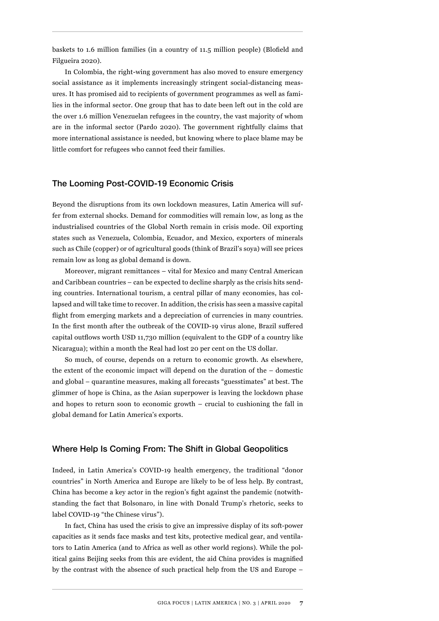baskets to 1.6 million families (in a country of 11.5 million people) (Blofield and Filgueira 2020).

In Colombia, the right-wing government has also moved to ensure emergency social assistance as it implements increasingly stringent social-distancing measures. It has promised aid to recipients of government programmes as well as families in the informal sector. One group that has to date been left out in the cold are the over 1.6 million Venezuelan refugees in the country, the vast majority of whom are in the informal sector (Pardo 2020). The government rightfully claims that more international assistance is needed, but knowing where to place blame may be little comfort for refugees who cannot feed their families.

#### The Looming Post-COVID-19 Economic Crisis

Beyond the disruptions from its own lockdown measures, Latin America will suffer from external shocks. Demand for commodities will remain low, as long as the industrialised countries of the Global North remain in crisis mode. Oil exporting states such as Venezuela, Colombia, Ecuador, and Mexico, exporters of minerals such as Chile (copper) or of agricultural goods (think of Brazil's soya) will see prices remain low as long as global demand is down.

Moreover, migrant remittances – vital for Mexico and many Central American and Caribbean countries – can be expected to decline sharply as the crisis hits sending countries. International tourism, a central pillar of many economies, has collapsed and will take time to recover. In addition, the crisis has seen a massive capital flight from emerging markets and a depreciation of currencies in many countries. In the first month after the outbreak of the COVID-19 virus alone, Brazil suffered capital outflows worth USD 11,730 million (equivalent to the GDP of a country like Nicaragua); within a month the Real had lost 20 per cent on the US dollar.

So much, of course, depends on a return to economic growth. As elsewhere, the extent of the economic impact will depend on the duration of the – domestic and global – quarantine measures, making all forecasts "guesstimates" at best. The glimmer of hope is China, as the Asian superpower is leaving the lockdown phase and hopes to return soon to economic growth – crucial to cushioning the fall in global demand for Latin America's exports.

#### Where Help Is Coming From: The Shift in Global Geopolitics

Indeed, in Latin America's COVID-19 health emergency, the traditional "donor countries" in North America and Europe are likely to be of less help. By contrast, China has become a key actor in the region's fight against the pandemic (notwithstanding the fact that Bolsonaro, in line with Donald Trump's rhetoric, seeks to label COVID-19 "the Chinese virus").

In fact, China has used the crisis to give an impressive display of its soft-power capacities as it sends face masks and test kits, protective medical gear, and ventilators to Latin America (and to Africa as well as other world regions). While the political gains Beijing seeks from this are evident, the aid China provides is magnified by the contrast with the absence of such practical help from the US and Europe –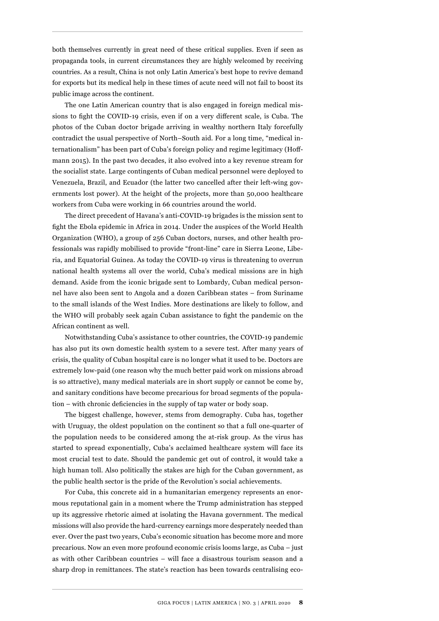both themselves currently in great need of these critical supplies. Even if seen as propaganda tools, in current circumstances they are highly welcomed by receiving countries. As a result, China is not only Latin America's best hope to revive demand for exports but its medical help in these times of acute need will not fail to boost its public image across the continent.

The one Latin American country that is also engaged in foreign medical missions to fight the COVID-19 crisis, even if on a very different scale, is Cuba. The photos of the Cuban doctor brigade arriving in wealthy northern Italy forcefully contradict the usual perspective of North–South aid. For a long time, "medical internationalism" has been part of Cuba's foreign policy and regime legitimacy (Hoffmann 2015). In the past two decades, it also evolved into a key revenue stream for the socialist state. Large contingents of Cuban medical personnel were deployed to Venezuela, Brazil, and Ecuador (the latter two cancelled after their left-wing governments lost power). At the height of the projects, more than 50,000 healthcare workers from Cuba were working in 66 countries around the world.

The direct precedent of Havana's anti-COVID-19 brigades is the mission sent to fight the Ebola epidemic in Africa in 2014. Under the auspices of the World Health Organization (WHO), a group of 256 Cuban doctors, nurses, and other health professionals was rapidly mobilised to provide "front-line" care in Sierra Leone, Liberia, and Equatorial Guinea. As today the COVID-19 virus is threatening to overrun national health systems all over the world, Cuba's medical missions are in high demand. Aside from the iconic brigade sent to Lombardy, Cuban medical personnel have also been sent to Angola and a dozen Caribbean states – from Suriname to the small islands of the West Indies. More destinations are likely to follow, and the WHO will probably seek again Cuban assistance to fight the pandemic on the African continent as well.

Notwithstanding Cuba's assistance to other countries, the COVID-19 pandemic has also put its own domestic health system to a severe test. After many years of crisis, the quality of Cuban hospital care is no longer what it used to be. Doctors are extremely low-paid (one reason why the much better paid work on missions abroad is so attractive), many medical materials are in short supply or cannot be come by, and sanitary conditions have become precarious for broad segments of the population – with chronic deficiencies in the supply of tap water or body soap.

The biggest challenge, however, stems from demography. Cuba has, together with Uruguay, the oldest population on the continent so that a full one-quarter of the population needs to be considered among the at-risk group. As the virus has started to spread exponentially, Cuba's acclaimed healthcare system will face its most crucial test to date. Should the pandemic get out of control, it would take a high human toll. Also politically the stakes are high for the Cuban government, as the public health sector is the pride of the Revolution's social achievements.

For Cuba, this concrete aid in a humanitarian emergency represents an enormous reputational gain in a moment where the Trump administration has stepped up its aggressive rhetoric aimed at isolating the Havana government. The medical missions will also provide the hard-currency earnings more desperately needed than ever. Over the past two years, Cuba's economic situation has become more and more precarious. Now an even more profound economic crisis looms large, as Cuba – just as with other Caribbean countries – will face a disastrous tourism season and a sharp drop in remittances. The state's reaction has been towards centralising eco-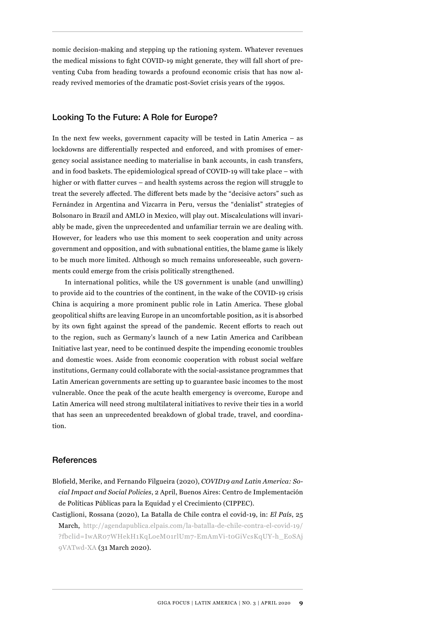nomic decision-making and stepping up the rationing system. Whatever revenues the medical missions to fight COVID-19 might generate, they will fall short of preventing Cuba from heading towards a profound economic crisis that has now already revived memories of the dramatic post-Soviet crisis years of the 1990s.

### Looking To the Future: A Role for Europe?

In the next few weeks, government capacity will be tested in Latin America – as lockdowns are differentially respected and enforced, and with promises of emergency social assistance needing to materialise in bank accounts, in cash transfers, and in food baskets. The epidemiological spread of COVID-19 will take place – with higher or with flatter curves – and health systems across the region will struggle to treat the severely affected. The different bets made by the "decisive actors" such as Fernández in Argentina and Vizcarra in Peru, versus the "denialist" strategies of Bolsonaro in Brazil and AMLO in Mexico, will play out. Miscalculations will invariably be made, given the unprecedented and unfamiliar terrain we are dealing with. However, for leaders who use this moment to seek cooperation and unity across government and opposition, and with subnational entities, the blame game is likely to be much more limited. Although so much remains unforeseeable, such governments could emerge from the crisis politically strengthened.

In international politics, while the US government is unable (and unwilling) to provide aid to the countries of the continent, in the wake of the COVID-19 crisis China is acquiring a more prominent public role in Latin America. These global geopolitical shifts are leaving Europe in an uncomfortable position, as it is absorbed by its own fight against the spread of the pandemic. Recent efforts to reach out to the region, such as Germany's launch of a new Latin America and Caribbean Initiative last year, need to be continued despite the impending economic troubles and domestic woes. Aside from economic cooperation with robust social welfare institutions, Germany could collaborate with the social-assistance programmes that Latin American governments are setting up to guarantee basic incomes to the most vulnerable. Once the peak of the acute health emergency is overcome, Europe and Latin America will need strong multilateral initiatives to revive their ties in a world that has seen an unprecedented breakdown of global trade, travel, and coordination.

#### References

- Blofield, Merike, and Fernando Filgueira (2020), *COVID19 and Latin America: Social Impact and Social Policies*, 2 April, Buenos Aires: Centro de Implementación de Políticas Públicas para la Equidad y el Crecimiento (CIPPEC).
- Castiglioni, Rossana (2020), La Batalla de Chile contra el covid-19, in: *El País*, 25 March, [http://agendapublica.elpais.com/la-batalla-de-chile-contra-el-covid-19/](http://agendapublica.elpais.com/la-batalla-de-chile-contra-el-covid-19/?fbclid=IwAR07WHekH1KqLoeM01r)  [?fbclid=IwAR07WHekH1KqLoeM01rlUm7-EmAmVi-t0GiVcsKqUY-h\\_EoSAj](http://agendapublica.elpais.com/la-batalla-de-chile-contra-el-covid-19/?fbclid=IwAR07WHekH1KqLoeM01r)  [9VATwd-XA](http://agendapublica.elpais.com/la-batalla-de-chile-contra-el-covid-19/?fbclid=IwAR07WHekH1KqLoeM01r) (31 March 2020).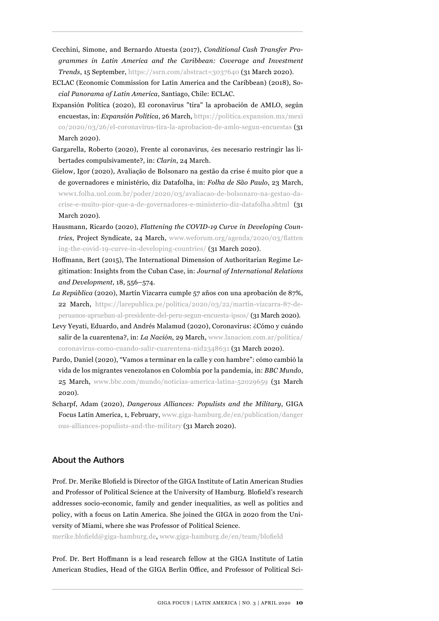- Cecchini, Simone, and Bernardo Atuesta (2017), *Conditional Cash Transfer Programmes in Latin America and the Caribbean: Coverage and Investment Trends*, 15 September, <https://ssrn.com/abstract=3037640>(31 March 2020).
- ECLAC (Economic Commission for Latin America and the Caribbean) (2018), S*ocial Panorama of Latin America*, Santiago, Chile: ECLAC.
- Expansión Política (2020), El coronavirus "tira" la aprobación de AMLO, según encuestas, in: *Expansión Política*, 26 March, [https://politica.expansion.mx/mexi](https://politica.expansion.mx/mexico/2020/03/26/el-coronavirus-tira-la-aprobacion-de-amlo-segun-encu) [co/2020/03/26/el-coronavirus-tira-la-aprobacion-de-amlo-segun-encuestas](https://politica.expansion.mx/mexico/2020/03/26/el-coronavirus-tira-la-aprobacion-de-amlo-segun-encu) (31 March 2020).
- Gargarella, Roberto (2020), Frente al coronavirus, ¿es necesario restringir las libertades compulsivamente?, in: *Clarin*, 24 March.
- Gielow, Igor (2020), Avaliação de Bolsonaro na gestão da crise é muito pior que a de governadores e ministério, diz Datafolha, in: *Folha de São Paulo*, 23 March, [www1.folha.uol.com.br/poder/2020/03/avaliacao-de-bolsonaro-na-gestao-da](http://www1.folha.uol.com.br/poder/2020/03/avaliacao-de-bolsonaro-na-gestao-da-crise-e-muito-pior-que-a-de-)[crise-e-muito-pior-que-a-de-governadores-e-ministerio-diz-datafolha.shtml](http://www1.folha.uol.com.br/poder/2020/03/avaliacao-de-bolsonaro-na-gestao-da-crise-e-muito-pior-que-a-de-) (31 March 2020).
- Hausmann, Ricardo (2020), *Flattening the COVID-19 Curve in Developing Countries*, Project Syndicate, 24 March, [www.weforum.org/agenda/2020/03/flatten](http://www.weforum.org/agenda/2020/03/flattening-the-covid-19-curve-in-developing-countries/) [ing-the-covid-19-curve-in-developing-countries/](http://www.weforum.org/agenda/2020/03/flattening-the-covid-19-curve-in-developing-countries/) (31 March 2020).
- Hoffmann, Bert (2015), The International Dimension of Authoritarian Regime Legitimation: Insights from the Cuban Case, in: *Journal of International Relations and Development*, 18, 556–574.
- *La República* (2020), Martín Vizcarra cumple 57 años con una aprobación de 87%, 22 March, [https://larepublica.pe/politica/2020/03/22/martin-vizcarra-87-de](https://larepublica.pe/politica/2020/03/22/martin-vizcarra-87-de-peruanos-aprueban-al-presidente-del)[peruanos-aprueban-al-presidente-del-peru-segun-encuesta-ipsos/](https://larepublica.pe/politica/2020/03/22/martin-vizcarra-87-de-peruanos-aprueban-al-presidente-del) (31 March 2020).
- Levy Yeyati, Eduardo, and Andrés Malamud (2020), Coronavirus: ¿Cómo y cuándo salir de la cuarentena?, in: *La Nación*, 29 March, [www.lanacion.com.ar/politica/](http://www.lanacion.com.ar/politica/coronavirus-como-cuando-salir-cuarentena-nid2348631) [coronavirus-como-cuando-salir-cuarentena-nid2348631](http://www.lanacion.com.ar/politica/coronavirus-como-cuando-salir-cuarentena-nid2348631) (31 March 2020).
- Pardo, Daniel (2020), "Vamos a terminar en la calle y con hambre": cómo cambió la vida de los migrantes venezolanos en Colombia por la pandemia, in: *BBC Mundo*, 25 March, [www.bbc.com/mundo/noticias-america-latina-52029659](http://www.bbc.com/mundo/noticias-america-latina-52029659) (31 March 2020).
- Scharpf, Adam (2020), *Dangerous Alliances: Populists and the Military*, GIGA Focus Latin America, 1, February, [www.giga-hamburg.de/en/publication/danger](http://www.giga-hamburg.de/en/publication/dangerous-alliances-populists-and-the-military) [ous-alliances-populists-and-the-military](http://www.giga-hamburg.de/en/publication/dangerous-alliances-populists-and-the-military) (31 March 2020).

## About the Authors

Prof. Dr. Merike Blofield is Director of the GIGA Institute of Latin American Studies and Professor of Political Science at the University of Hamburg. Blofield's research addresses socio-economic, family and gender inequalities, as well as politics and policy, with a focus on Latin America. She joined the GIGA in 2020 from the University of Miami, where she was Professor of Political Science.

[merike.blofield@giga-hamburg.de,](mailto:merike.blofield@giga-hamburg.de) [www.giga-hamburg.de/en/team/blofield](http://www.giga-hamburg.de/en/team/blofield)

Prof. Dr. Bert Hoffmann is a lead research fellow at the GIGA Institute of Latin American Studies, Head of the GIGA Berlin Office, and Professor of Political Sci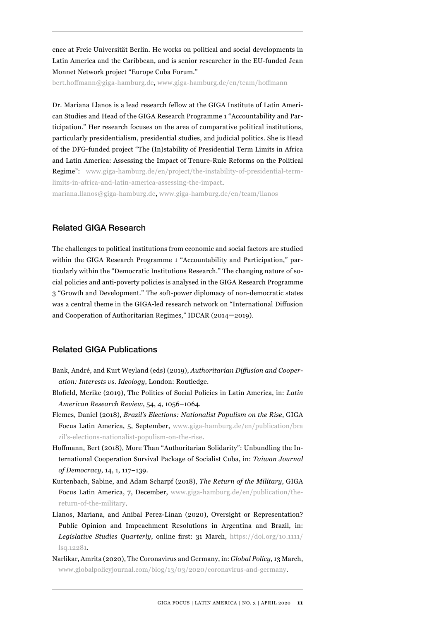ence at Freie Universität Berlin. He works on political and social developments in Latin America and the Caribbean, and is senior researcher in the EU-funded Jean Monnet Network project "Europe Cuba Forum."

[bert.hoffmann@giga-hamburg.de,](mailto:bert.hoffmann@giga-hamburg.de) [www.giga-hamburg.de/en/team/hoffmann](http://www.giga-hamburg.de/en/team/hoffmann)

Dr. Mariana Llanos is a lead research fellow at the GIGA Institute of Latin American Studies and Head of the GIGA Research Programme 1 "Accountability and Participation." Her research focuses on the area of comparative political institutions, particularly presidentialism, presidential studies, and judicial politics. She is Head of the DFG-funded project "The (In)stability of Presidential Term Limits in Africa and Latin America: Assessing the Impact of Tenure-Rule Reforms on the Political Regime": [www.giga-hamburg.de/en/project/the-instability-of-presidential-term](https://www.giga-hamburg.de/en/project/the-instability-of-presidential-term-limits-in-africa-and-latin-america-assessing-the-impact)[limits-in-africa-and-latin-america-assessing-the-impact](https://www.giga-hamburg.de/en/project/the-instability-of-presidential-term-limits-in-africa-and-latin-america-assessing-the-impact).

[mariana.llanos@giga-hamburg.de,](mailto:mariana.llanos@giga-hamburg.de) [www.giga-hamburg.de/en/team/llanos](http://www.giga-hamburg.de/en/team/llanos)

#### Related GIGA Research

The challenges to political institutions from economic and social factors are studied within the GIGA Research Programme 1 "Accountability and Participation," particularly within the "Democratic Institutions Research." The changing nature of social policies and anti-poverty policies is analysed in the GIGA Research Programme 3 "Growth and Development." The soft-power diplomacy of non-democratic states was a central theme in the GIGA-led research network on "International Diffusion and Cooperation of Authoritarian Regimes," IDCAR (2014–2019).

#### Related GIGA Publications

- Bank, André, and Kurt Weyland (eds) (2019), *Authoritarian Diffusion and Cooperation: Interests vs. Ideology*, London: Routledge.
- Blofield, Merike (2019), The Politics of Social Policies in Latin America, in: *Latin American Research Review*, 54, 4, 1056–1064.
- Flemes, Daniel (2018), *Brazil's Elections: Nationalist Populism on the Rise*, GIGA Focus Latin America, 5, September, [www.giga-hamburg.de/en/publication/bra](http://www.giga-hamburg.de/en/publication/brazil) [zil's-elections-nationalist-populism-on-the-rise](http://www.giga-hamburg.de/en/publication/brazil).
- Hoffmann, Bert (2018), More Than "Authoritarian Solidarity": Unbundling the International Cooperation Survival Package of Socialist Cuba, in: *Taiwan Journal of Democracy*, 14, 1, 117–139.
- Kurtenbach, Sabine, and Adam Scharpf (2018), *The Return of the Military*, GIGA Focus Latin America, 7, December, [www.giga-hamburg.de/en/publication/the](http://www.giga-hamburg.de/en/publication/the-return-of-the-military)[return-of-the-military](http://www.giga-hamburg.de/en/publication/the-return-of-the-military).
- Llanos, Mariana, and Anibal Perez-Linan (2020), Oversight or Representation? Public Opinion and Impeachment Resolutions in Argentina and Brazil, in: *Legislative Studies Quarterly*, online first: 31 March, [https://doi.org/10.1111/](https://doi.org/10.1111/lsq.12281) [lsq.12281.](https://doi.org/10.1111/lsq.12281)
- Narlikar, Amrita (2020), The Coronavirus and Germany, in: *Global Policy*, 13 March, [www.globalpolicyjournal.com/blog/13/03/2020/coronavirus-and-germany](http://www.globalpolicyjournal.com/blog/13/03/2020/coronavirus-and-germany).